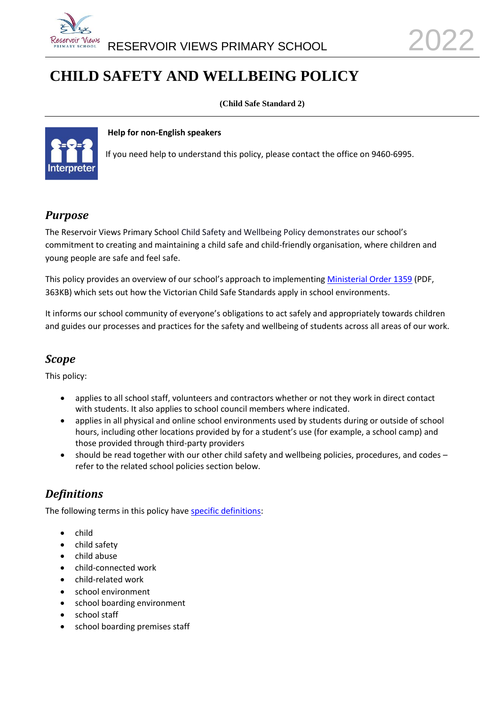

# **CHILD SAFETY AND WELLBEING POLICY**

**(Child Safe Standard 2)**



#### **Help for non-English speakers**

If you need help to understand this policy, please contact the office on 9460-6995.

### *Purpose*

The Reservoir Views Primary School Child Safety and Wellbeing Policy demonstrates our school's commitment to creating and maintaining a child safe and child-friendly organisation, where children and young people are safe and feel safe.

This policy provides an overview of our school's approach to implementing [Ministerial Order 1359](https://www.education.vic.gov.au/Documents/about/programs/health/protect/Ministerial_Order.pdf) (PDF, 363KB) which sets out how the Victorian Child Safe Standards apply in school environments.

It informs our school community of everyone's obligations to act safely and appropriately towards children and guides our processes and practices for the safety and wellbeing of students across all areas of our work.

### *Scope*

This policy:

- applies to all school staff, volunteers and contractors whether or not they work in direct contact with students. It also applies to school council members where indicated.
- applies in all physical and online school environments used by students during or outside of school hours, including other locations provided by for a student's use (for example, a school camp) and those provided through third-party providers
- should be read together with our other child safety and wellbeing policies, procedures, and codes refer to the related school policies section below.

### *Definitions*

The following terms in this policy have [specific definitions:](https://www.vic.gov.au/child-safe-standards-definitions)

- child
- child safety
- child abuse
- child-connected work
- child-related work
- school environment
- school boarding environment
- school staff
- school boarding premises staff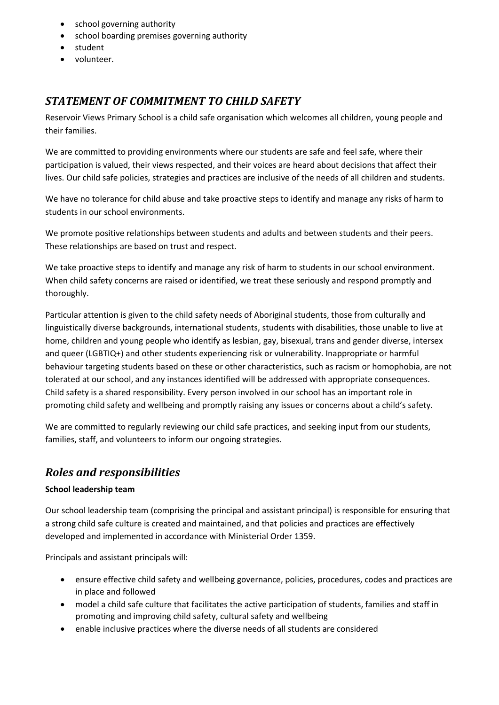- school governing authority
- school boarding premises governing authority
- student
- volunteer.

## *STATEMENT OF COMMITMENT TO CHILD SAFETY*

Reservoir Views Primary School is a child safe organisation which welcomes all children, young people and their families.

We are committed to providing environments where our students are safe and feel safe, where their participation is valued, their views respected, and their voices are heard about decisions that affect their lives. Our child safe policies, strategies and practices are inclusive of the needs of all children and students.

We have no tolerance for child abuse and take proactive steps to identify and manage any risks of harm to students in our school environments.

We promote positive relationships between students and adults and between students and their peers. These relationships are based on trust and respect.

We take proactive steps to identify and manage any risk of harm to students in our school environment. When child safety concerns are raised or identified, we treat these seriously and respond promptly and thoroughly.

Particular attention is given to the child safety needs of Aboriginal students, those from culturally and linguistically diverse backgrounds, international students, students with disabilities, those unable to live at home, children and young people who identify as lesbian, gay, bisexual, trans and gender diverse, intersex and queer (LGBTIQ+) and other students experiencing risk or vulnerability. Inappropriate or harmful behaviour targeting students based on these or other characteristics, such as racism or homophobia, are not tolerated at our school, and any instances identified will be addressed with appropriate consequences. Child safety is a shared responsibility. Every person involved in our school has an important role in promoting child safety and wellbeing and promptly raising any issues or concerns about a child's safety.

We are committed to regularly reviewing our child safe practices, and seeking input from our students, families, staff, and volunteers to inform our ongoing strategies.

### *Roles and responsibilities*

#### **School leadership team**

Our school leadership team (comprising the principal and assistant principal) is responsible for ensuring that a strong child safe culture is created and maintained, and that policies and practices are effectively developed and implemented in accordance with Ministerial Order 1359.

Principals and assistant principals will:

- ensure effective child safety and wellbeing governance, policies, procedures, codes and practices are in place and followed
- model a child safe culture that facilitates the active participation of students, families and staff in promoting and improving child safety, cultural safety and wellbeing
- enable inclusive practices where the diverse needs of all students are considered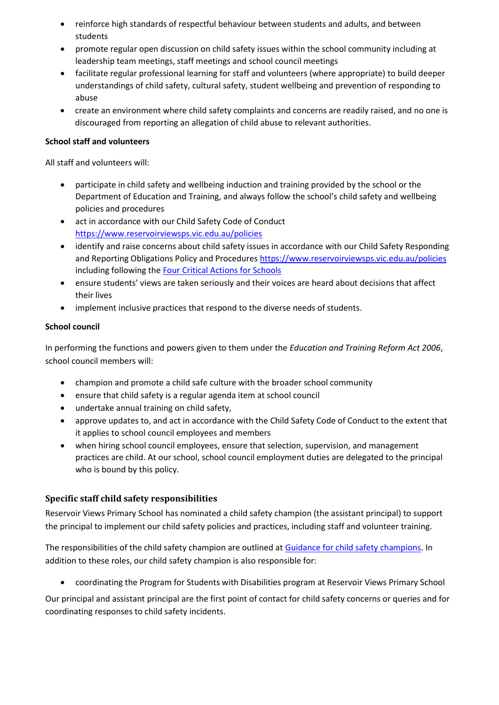- reinforce high standards of respectful behaviour between students and adults, and between students
- promote regular open discussion on child safety issues within the school community including at leadership team meetings, staff meetings and school council meetings
- facilitate regular professional learning for staff and volunteers (where appropriate) to build deeper understandings of child safety, cultural safety, student wellbeing and prevention of responding to abuse
- create an environment where child safety complaints and concerns are readily raised, and no one is discouraged from reporting an allegation of child abuse to relevant authorities.

#### **School staff and volunteers**

All staff and volunteers will:

- participate in child safety and wellbeing induction and training provided by the school or the Department of Education and Training, and always follow the school's child safety and wellbeing policies and procedures
- act in accordance with our Child Safety Code of Conduct <https://www.reservoirviewsps.vic.edu.au/policies>
- identify and raise concerns about child safety issues in accordance with our Child Safety Responding and Reporting Obligations Policy and Procedures <https://www.reservoirviewsps.vic.edu.au/policies> including following the [Four Critical Actions for Schools](https://www.education.vic.gov.au/school/teachers/health/childprotection/Pages/report.aspx)
- ensure students' views are taken seriously and their voices are heard about decisions that affect their lives
- implement inclusive practices that respond to the diverse needs of students.

#### **School council**

In performing the functions and powers given to them under the *Education and Training Reform Act 2006*, school council members will:

- champion and promote a child safe culture with the broader school community
- ensure that child safety is a regular agenda item at school council
- undertake annual training on child safety,
- approve updates to, and act in accordance with the Child Safety Code of Conduct to the extent that it applies to school council employees and members
- when hiring school council employees, ensure that selection, supervision, and management practices are child. At our school, school council employment duties are delegated to the principal who is bound by this policy.

#### **Specific staff child safety responsibilities**

Reservoir Views Primary School has nominated a child safety champion (the assistant principal) to support the principal to implement our child safety policies and practices, including staff and volunteer training.

The responsibilities of the child safety champion are outlined at [Guidance for child safety champions.](https://www.vic.gov.au/guidance-child-safety-champions) In addition to these roles, our child safety champion is also responsible for:

• coordinating the Program for Students with Disabilities program at Reservoir Views Primary School

Our principal and assistant principal are the first point of contact for child safety concerns or queries and for coordinating responses to child safety incidents.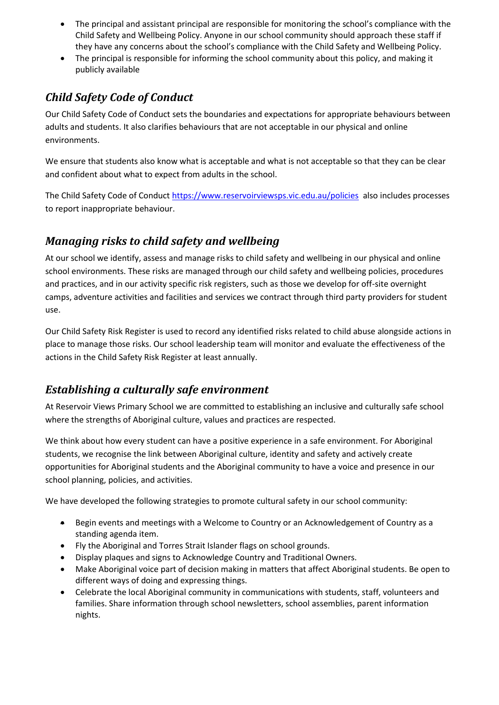- The principal and assistant principal are responsible for monitoring the school's compliance with the Child Safety and Wellbeing Policy. Anyone in our school community should approach these staff if they have any concerns about the school's compliance with the Child Safety and Wellbeing Policy.
- The principal is responsible for informing the school community about this policy, and making it publicly available

## *Child Safety Code of Conduct*

Our Child Safety Code of Conduct sets the boundaries and expectations for appropriate behaviours between adults and students. It also clarifies behaviours that are not acceptable in our physical and online environments.

We ensure that students also know what is acceptable and what is not acceptable so that they can be clear and confident about what to expect from adults in the school.

The Child Safety Code of Conduct<https://www.reservoirviewsps.vic.edu.au/policies>also includes processes to report inappropriate behaviour.

### *Managing risks to child safety and wellbeing*

At our school we identify, assess and manage risks to child safety and wellbeing in our physical and online school environments. These risks are managed through our child safety and wellbeing policies, procedures and practices, and in our activity specific risk registers, such as those we develop for off-site overnight camps, adventure activities and facilities and services we contract through third party providers for student use.

Our Child Safety Risk Register is used to record any identified risks related to child abuse alongside actions in place to manage those risks. Our school leadership team will monitor and evaluate the effectiveness of the actions in the Child Safety Risk Register at least annually.

## *Establishing a culturally safe environment*

At Reservoir Views Primary School we are committed to establishing an inclusive and culturally safe school where the strengths of Aboriginal culture, values and practices are respected.

We think about how every student can have a positive experience in a safe environment. For Aboriginal students, we recognise the link between Aboriginal culture, identity and safety and actively create opportunities for Aboriginal students and the Aboriginal community to have a voice and presence in our school planning, policies, and activities.

We have developed the following strategies to promote cultural safety in our school community:

- Begin events and meetings with a Welcome to Country or an Acknowledgement of Country as a standing agenda item.
- Fly the Aboriginal and Torres Strait Islander flags on school grounds.
- Display plaques and signs to Acknowledge Country and Traditional Owners.
- Make Aboriginal voice part of decision making in matters that affect Aboriginal students. Be open to different ways of doing and expressing things.
- Celebrate the local Aboriginal community in communications with students, staff, volunteers and families. Share information through school newsletters, school assemblies, parent information nights.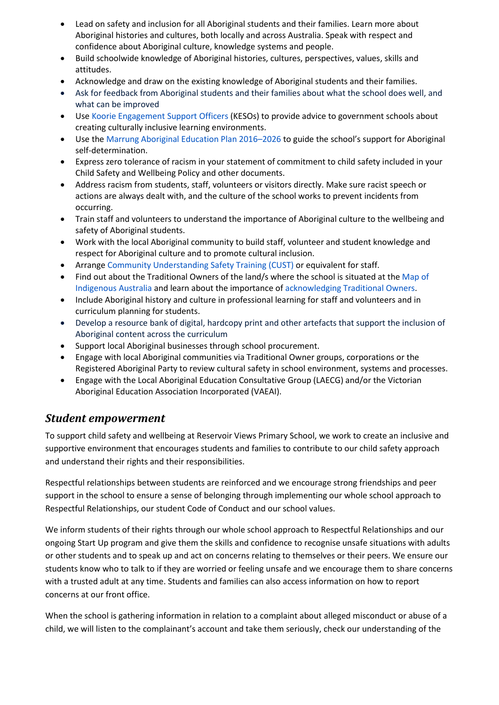- Lead on safety and inclusion for all Aboriginal students and their families. Learn more about Aboriginal histories and cultures, both locally and across Australia. Speak with respect and confidence about Aboriginal culture, knowledge systems and people.
- Build schoolwide knowledge of Aboriginal histories, cultures, perspectives, values, skills and attitudes.
- Acknowledge and draw on the existing knowledge of Aboriginal students and their families.
- Ask for feedback from Aboriginal students and their families about what the school does well, and what can be improved
- Use [Koorie Engagement Support Officers](https://www.vic.gov.au/koorie-education-coordinator-contact-details) (KESOs) to provide advice to government schools about creating culturally inclusive learning environments.
- Use the [Marrung Aboriginal Education Plan 2016](https://www.vic.gov.au/marrung)–2026 to guide the school's support for Aboriginal self-determination.
- Express zero tolerance of racism in your statement of commitment to child safety included in your Child Safety and Wellbeing Policy and other documents.
- Address racism from students, staff, volunteers or visitors directly. Make sure racist speech or actions are always dealt with, and the culture of the school works to prevent incidents from occurring.
- Train staff and volunteers to understand the importance of Aboriginal culture to the wellbeing and safety of Aboriginal students.
- Work with the local Aboriginal community to build staff, volunteer and student knowledge and respect for Aboriginal culture and to promote cultural inclusion.
- Arrange [Community Understanding Safety Training](https://www.vaeai.org.au/community-understanding-safety-training-online-information-session/) (CUST) or equivalent for staff.
- Find out about the Traditional Owners of the land/s where the school is situated at the Map of [Indigenous](https://aiatsis.gov.au/explore/map-indigenous-australia) Australia and learn about the importance of [acknowledging Traditional](https://www.indigenous.gov.au/contact-us/welcome_acknowledgement-country) Owners.
- Include Aboriginal history and culture in professional learning for staff and volunteers and in curriculum planning for students.
- Develop a resource bank of digital, hardcopy print and other artefacts that support the inclusion of Aboriginal content across the curriculum
- Support local Aboriginal businesses through school procurement.
- Engage with local Aboriginal communities via Traditional Owner groups, corporations or the Registered Aboriginal Party to review cultural safety in school environment, systems and processes.
- Engage with the Local Aboriginal Education Consultative Group (LAECG) and/or the Victorian Aboriginal Education Association Incorporated (VAEAI).

### *Student empowerment*

To support child safety and wellbeing at Reservoir Views Primary School, we work to create an inclusive and supportive environment that encourages students and families to contribute to our child safety approach and understand their rights and their responsibilities.

Respectful relationships between students are reinforced and we encourage strong friendships and peer support in the school to ensure a sense of belonging through implementing our whole school approach to Respectful Relationships, our student Code of Conduct and our school values.

We inform students of their rights through our whole school approach to Respectful Relationships and our ongoing Start Up program and give them the skills and confidence to recognise unsafe situations with adults or other students and to speak up and act on concerns relating to themselves or their peers. We ensure our students know who to talk to if they are worried or feeling unsafe and we encourage them to share concerns with a trusted adult at any time. Students and families can also access information on how to report concerns at our front office.

When the school is gathering information in relation to a complaint about alleged misconduct or abuse of a child, we will listen to the complainant's account and take them seriously, check our understanding of the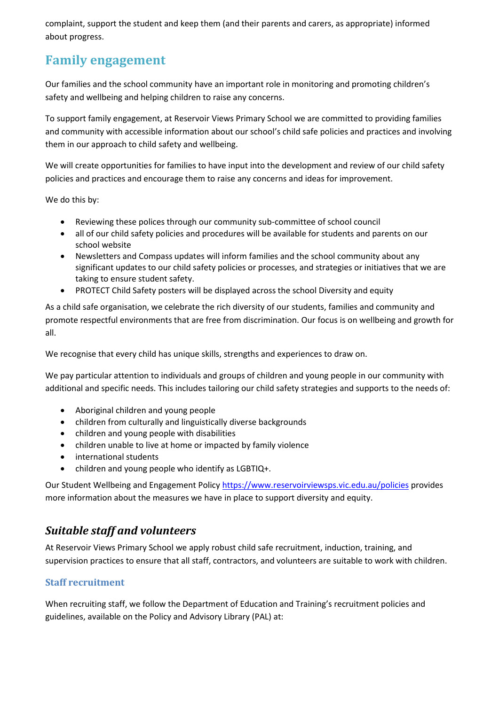complaint, support the student and keep them (and their parents and carers, as appropriate) informed about progress.

# **Family engagement**

Our families and the school community have an important role in monitoring and promoting children's safety and wellbeing and helping children to raise any concerns.

To support family engagement, at Reservoir Views Primary School we are committed to providing families and community with accessible information about our school's child safe policies and practices and involving them in our approach to child safety and wellbeing.

We will create opportunities for families to have input into the development and review of our child safety policies and practices and encourage them to raise any concerns and ideas for improvement.

We do this by:

- Reviewing these polices through our community sub-committee of school council
- all of our child safety policies and procedures will be available for students and parents on our school website
- Newsletters and Compass updates will inform families and the school community about any significant updates to our child safety policies or processes, and strategies or initiatives that we are taking to ensure student safety.
- PROTECT Child Safety posters will be displayed across the school Diversity and equity

As a child safe organisation, we celebrate the rich diversity of our students, families and community and promote respectful environments that are free from discrimination. Our focus is on wellbeing and growth for all.

We recognise that every child has unique skills, strengths and experiences to draw on.

We pay particular attention to individuals and groups of children and young people in our community with additional and specific needs. This includes tailoring our child safety strategies and supports to the needs of:

- Aboriginal children and young people
- children from culturally and linguistically diverse backgrounds
- children and young people with disabilities
- children unable to live at home or impacted by family violence
- international students
- children and young people who identify as LGBTIQ+.

Our Student Wellbeing and Engagement Policy <https://www.reservoirviewsps.vic.edu.au/policies> provides more information about the measures we have in place to support diversity and equity.

### *Suitable staff and volunteers*

At Reservoir Views Primary School we apply robust child safe recruitment, induction, training, and supervision practices to ensure that all staff, contractors, and volunteers are suitable to work with children.

#### **Staff recruitment**

When recruiting staff, we follow the Department of Education and Training's recruitment policies and guidelines, available on the Policy and Advisory Library (PAL) at: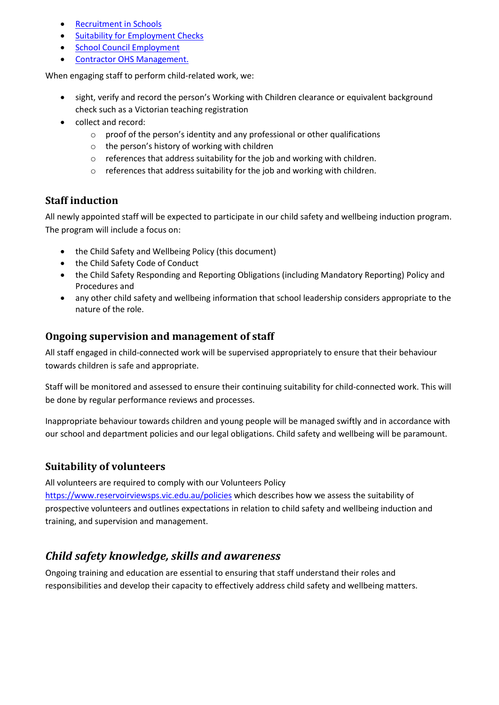- [Recruitment in Schools](https://www2.education.vic.gov.au/pal/recruitment-schools/overview)
- [Suitability for Employment Checks](https://www2.education.vic.gov.au/pal/suitability-employment-checks/overview)
- [School Council Employment](https://www2.education.vic.gov.au/pal/school-council-employment/overview)
- [Contractor OHS Management.](https://www2.education.vic.gov.au/pal/contractor-ohs-management/policy)

When engaging staff to perform child-related work, we:

- sight, verify and record the person's Working with Children clearance or equivalent background check such as a Victorian teaching registration
- collect and record:
	- o proof of the person's identity and any professional or other qualifications
	- o the person's history of working with children
	- o references that address suitability for the job and working with children.
	- $\circ$  references that address suitability for the job and working with children.

#### **Staff induction**

All newly appointed staff will be expected to participate in our child safety and wellbeing induction program. The program will include a focus on:

- the Child Safety and Wellbeing Policy (this document)
- the Child Safety Code of Conduct
- the Child Safety Responding and Reporting Obligations (including Mandatory Reporting) Policy and Procedures and
- any other child safety and wellbeing information that school leadership considers appropriate to the nature of the role.

#### **Ongoing supervision and management of staff**

All staff engaged in child-connected work will be supervised appropriately to ensure that their behaviour towards children is safe and appropriate.

Staff will be monitored and assessed to ensure their continuing suitability for child-connected work. This will be done by regular performance reviews and processes.

Inappropriate behaviour towards children and young people will be managed swiftly and in accordance with our school and department policies and our legal obligations. Child safety and wellbeing will be paramount.

#### **Suitability of volunteers**

All volunteers are required to comply with our Volunteers Policy

<https://www.reservoirviewsps.vic.edu.au/policies> which describes how we assess the suitability of prospective volunteers and outlines expectations in relation to child safety and wellbeing induction and training, and supervision and management.

### *Child safety knowledge, skills and awareness*

Ongoing training and education are essential to ensuring that staff understand their roles and responsibilities and develop their capacity to effectively address child safety and wellbeing matters.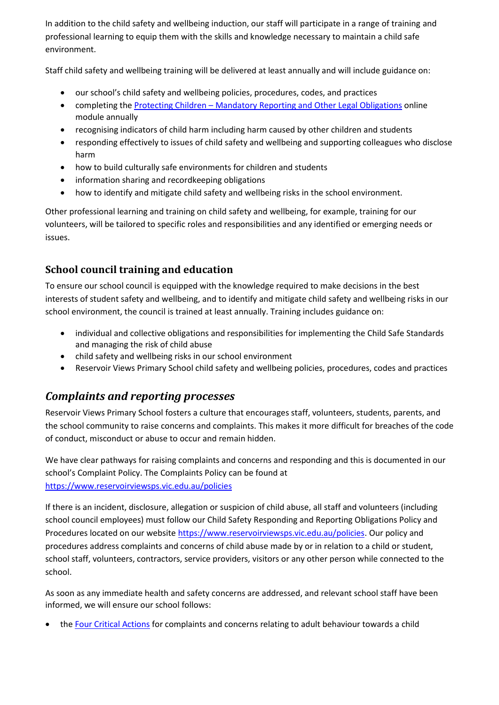In addition to the child safety and wellbeing induction, our staff will participate in a range of training and professional learning to equip them with the skills and knowledge necessary to maintain a child safe environment.

Staff child safety and wellbeing training will be delivered at least annually and will include guidance on:

- our school's child safety and wellbeing policies, procedures, codes, and practices
- completing the Protecting Children [Mandatory Reporting and Other](http://elearn.com.au/det/protectingchildren/) Legal Obligations online module annually
- recognising indicators of child harm including harm caused by other children and students
- responding effectively to issues of child safety and wellbeing and supporting colleagues who disclose harm
- how to build culturally safe environments for children and students
- information sharing and recordkeeping obligations
- how to identify and mitigate child safety and wellbeing risks in the school environment.

Other professional learning and training on child safety and wellbeing, for example, training for our volunteers, will be tailored to specific roles and responsibilities and any identified or emerging needs or issues.

### **School council training and education**

To ensure our school council is equipped with the knowledge required to make decisions in the best interests of student safety and wellbeing, and to identify and mitigate child safety and wellbeing risks in our school environment, the council is trained at least annually. Training includes guidance on:

- individual and collective obligations and responsibilities for implementing the Child Safe Standards and managing the risk of child abuse
- child safety and wellbeing risks in our school environment
- Reservoir Views Primary School child safety and wellbeing policies, procedures, codes and practices

### *Complaints and reporting processes*

Reservoir Views Primary School fosters a culture that encourages staff, volunteers, students, parents, and the school community to raise concerns and complaints. This makes it more difficult for breaches of the code of conduct, misconduct or abuse to occur and remain hidden.

We have clear pathways for raising complaints and concerns and responding and this is documented in our school's Complaint Policy. The Complaints Policy can be found at <https://www.reservoirviewsps.vic.edu.au/policies>

If there is an incident, disclosure, allegation or suspicion of child abuse, all staff and volunteers (including school council employees) must follow our Child Safety Responding and Reporting Obligations Policy and Procedures located on our website [https://www.reservoirviewsps.vic.edu.au/policies.](https://www.reservoirviewsps.vic.edu.au/policies) Our policy and procedures address complaints and concerns of child abuse made by or in relation to a child or student, school staff, volunteers, contractors, service providers, visitors or any other person while connected to the school.

As soon as any immediate health and safety concerns are addressed, and relevant school staff have been informed, we will ensure our school follows:

• the [Four Critical Actions](https://www.education.vic.gov.au/Documents/about/programs/health/protect/FourCriticalActions_ChildAbuse.pdf) for complaints and concerns relating to adult behaviour towards a child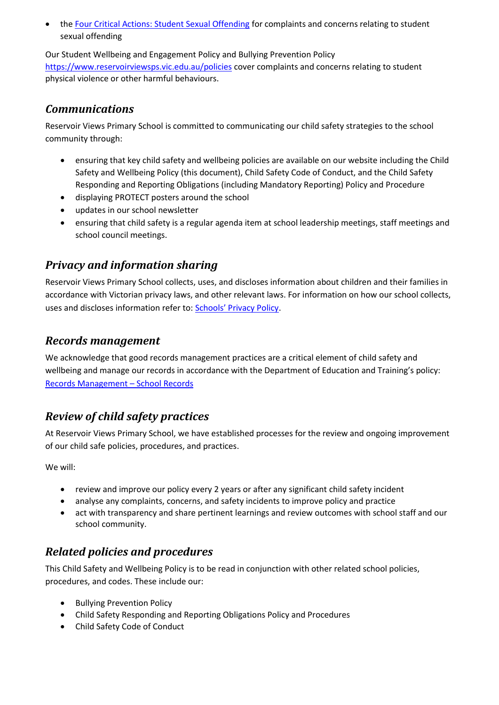the [Four Critical Actions: Student Sexual Offending](https://www.education.vic.gov.au/school/teachers/health/childprotection/Pages/stusexual.aspx) for complaints and concerns relating to student sexual offending

Our Student Wellbeing and Engagement Policy and Bullying Prevention Policy <https://www.reservoirviewsps.vic.edu.au/policies> cover complaints and concerns relating to student physical violence or other harmful behaviours.

## *Communications*

Reservoir Views Primary School is committed to communicating our child safety strategies to the school community through:

- ensuring that key child safety and wellbeing policies are available on our website including the Child Safety and Wellbeing Policy (this document), Child Safety Code of Conduct, and the Child Safety Responding and Reporting Obligations (including Mandatory Reporting) Policy and Procedure
- displaying PROTECT posters around the school
- updates in our school newsletter
- ensuring that child safety is a regular agenda item at school leadership meetings, staff meetings and school council meetings.

## *Privacy and information sharing*

Reservoir Views Primary School collects, uses, and discloses information about children and their families in accordance with Victorian privacy laws, and other relevant laws. For information on how our school collects, uses and discloses information refer to: [Schools' Privacy Policy](https://www.education.vic.gov.au/Pages/schoolsprivacypolicy.aspx).

### *Records management*

We acknowledge that good records management practices are a critical element of child safety and wellbeing and manage our records in accordance with the Department of Education and Training's policy: [Records Management](https://www2.education.vic.gov.au/pal/records-management/policy) – School Records

### *Review of child safety practices*

At Reservoir Views Primary School, we have established processes for the review and ongoing improvement of our child safe policies, procedures, and practices.

We will:

- review and improve our policy every 2 years or after any significant child safety incident
- analyse any complaints, concerns, and safety incidents to improve policy and practice
- act with transparency and share pertinent learnings and review outcomes with school staff and our school community.

## *Related policies and procedures*

This Child Safety and Wellbeing Policy is to be read in conjunction with other related school policies, procedures, and codes. These include our:

- Bullying Prevention Policy
- Child Safety Responding and Reporting Obligations Policy and Procedures
- Child Safety Code of Conduct